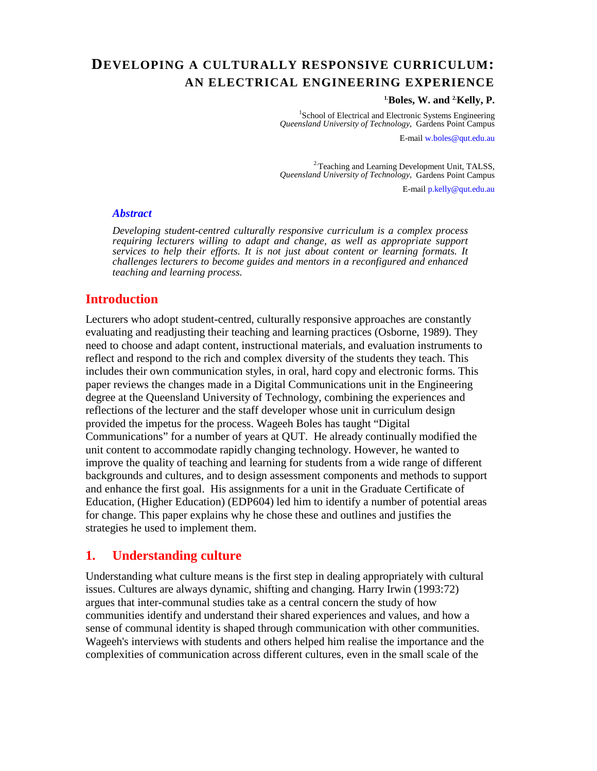# **DEVELOPING A CULTURALLY RESPONSIVE CURRICULUM: AN ELECTRICAL ENGINEERING EXPERIENCE**

#### **1.Boles, W. and 2.Kelly, P.**

<sup>1</sup>School of Electrical and Electronic Systems Engineering *Queensland University of Technology,* Gardens Point Campus

E-mail w.boles@qut.edu.au

<sup>2.</sup>Teaching and Learning Development Unit, TALSS, *Queensland University of Technology,* Gardens Point Campus

E-mail p.kelly@qut.edu.au

#### *Abstract*

*Developing student-centred culturally responsive curriculum is a complex process requiring lecturers willing to adapt and change, as well as appropriate support services to help their efforts. It is not just about content or learning formats. It challenges lecturers to become guides and mentors in a reconfigured and enhanced teaching and learning process.* 

### **Introduction**

Lecturers who adopt student-centred, culturally responsive approaches are constantly evaluating and readjusting their teaching and learning practices (Osborne, 1989). They need to choose and adapt content, instructional materials, and evaluation instruments to reflect and respond to the rich and complex diversity of the students they teach. This includes their own communication styles, in oral, hard copy and electronic forms. This paper reviews the changes made in a Digital Communications unit in the Engineering degree at the Queensland University of Technology, combining the experiences and reflections of the lecturer and the staff developer whose unit in curriculum design provided the impetus for the process. Wageeh Boles has taught "Digital Communications" for a number of years at QUT. He already continually modified the unit content to accommodate rapidly changing technology. However, he wanted to improve the quality of teaching and learning for students from a wide range of different backgrounds and cultures, and to design assessment components and methods to support and enhance the first goal. His assignments for a unit in the Graduate Certificate of Education, (Higher Education) (EDP604) led him to identify a number of potential areas for change. This paper explains why he chose these and outlines and justifies the strategies he used to implement them.

### **1. Understanding culture**

Understanding what culture means is the first step in dealing appropriately with cultural issues. Cultures are always dynamic, shifting and changing. Harry Irwin (1993:72) argues that inter-communal studies take as a central concern the study of how communities identify and understand their shared experiences and values, and how a sense of communal identity is shaped through communication with other communities. Wageeh's interviews with students and others helped him realise the importance and the complexities of communication across different cultures, even in the small scale of the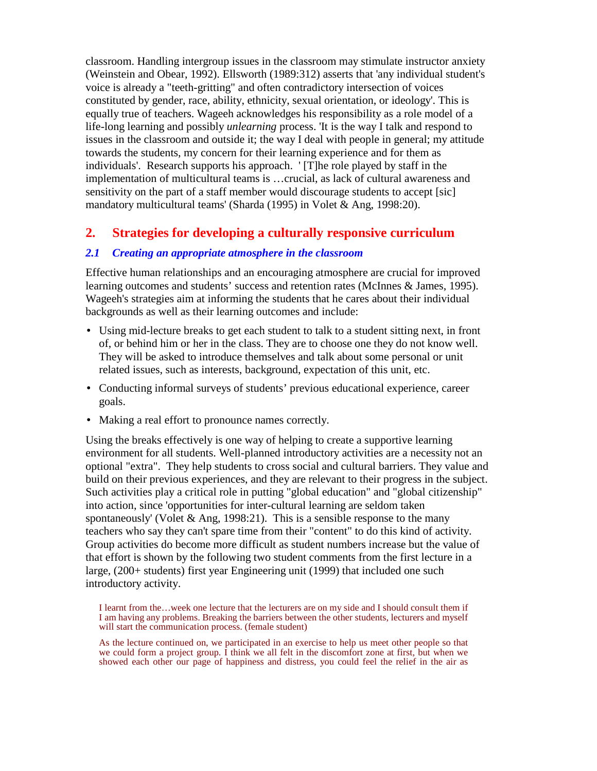classroom. Handling intergroup issues in the classroom may stimulate instructor anxiety (Weinstein and Obear, 1992). Ellsworth (1989:312) asserts that 'any individual student's voice is already a "teeth-gritting" and often contradictory intersection of voices constituted by gender, race, ability, ethnicity, sexual orientation, or ideology'. This is equally true of teachers. Wageeh acknowledges his responsibility as a role model of a life-long learning and possibly *unlearning* process. 'It is the way I talk and respond to issues in the classroom and outside it; the way I deal with people in general; my attitude towards the students, my concern for their learning experience and for them as individuals'. Research supports his approach. ' [T]he role played by staff in the implementation of multicultural teams is …crucial, as lack of cultural awareness and sensitivity on the part of a staff member would discourage students to accept [sic] mandatory multicultural teams' (Sharda (1995) in Volet & Ang, 1998:20).

### **2. Strategies for developing a culturally responsive curriculum**

#### *2.1 Creating an appropriate atmosphere in the classroom*

Effective human relationships and an encouraging atmosphere are crucial for improved learning outcomes and students' success and retention rates (McInnes & James, 1995). Wageeh's strategies aim at informing the students that he cares about their individual backgrounds as well as their learning outcomes and include:

- Using mid-lecture breaks to get each student to talk to a student sitting next, in front of, or behind him or her in the class. They are to choose one they do not know well. They will be asked to introduce themselves and talk about some personal or unit related issues, such as interests, background, expectation of this unit, etc.
- Conducting informal surveys of students' previous educational experience, career goals.
- Making a real effort to pronounce names correctly.

Using the breaks effectively is one way of helping to create a supportive learning environment for all students. Well-planned introductory activities are a necessity not an optional "extra". They help students to cross social and cultural barriers. They value and build on their previous experiences, and they are relevant to their progress in the subject. Such activities play a critical role in putting "global education" and "global citizenship" into action, since 'opportunities for inter-cultural learning are seldom taken spontaneously' (Volet & Ang, 1998:21). This is a sensible response to the many teachers who say they can't spare time from their "content" to do this kind of activity. Group activities do become more difficult as student numbers increase but the value of that effort is shown by the following two student comments from the first lecture in a large, (200+ students) first year Engineering unit (1999) that included one such introductory activity.

I learnt from the…week one lecture that the lecturers are on my side and I should consult them if I am having any problems. Breaking the barriers between the other students, lecturers and myself will start the communication process. (female student)

As the lecture continued on, we participated in an exercise to help us meet other people so that we could form a project group. I think we all felt in the discomfort zone at first, but when we showed each other our page of happiness and distress, you could feel the relief in the air as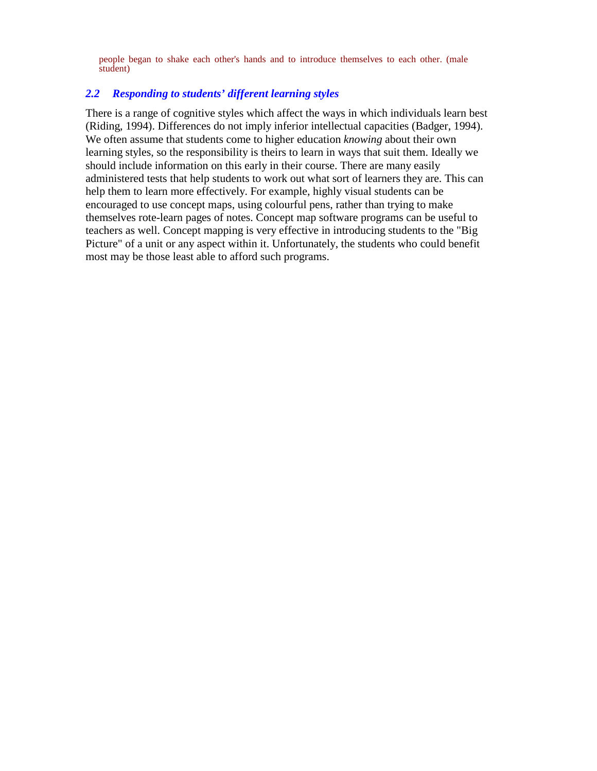people began to shake each other's hands and to introduce themselves to each other. (male student)

#### *2.2 Responding to students' different learning styles*

There is a range of cognitive styles which affect the ways in which individuals learn best (Riding, 1994). Differences do not imply inferior intellectual capacities (Badger, 1994). We often assume that students come to higher education *knowing* about their own learning styles, so the responsibility is theirs to learn in ways that suit them. Ideally we should include information on this early in their course. There are many easily administered tests that help students to work out what sort of learners they are. This can help them to learn more effectively. For example, highly visual students can be encouraged to use concept maps, using colourful pens, rather than trying to make themselves rote-learn pages of notes. Concept map software programs can be useful to teachers as well. Concept mapping is very effective in introducing students to the "Big Picture" of a unit or any aspect within it. Unfortunately, the students who could benefit most may be those least able to afford such programs.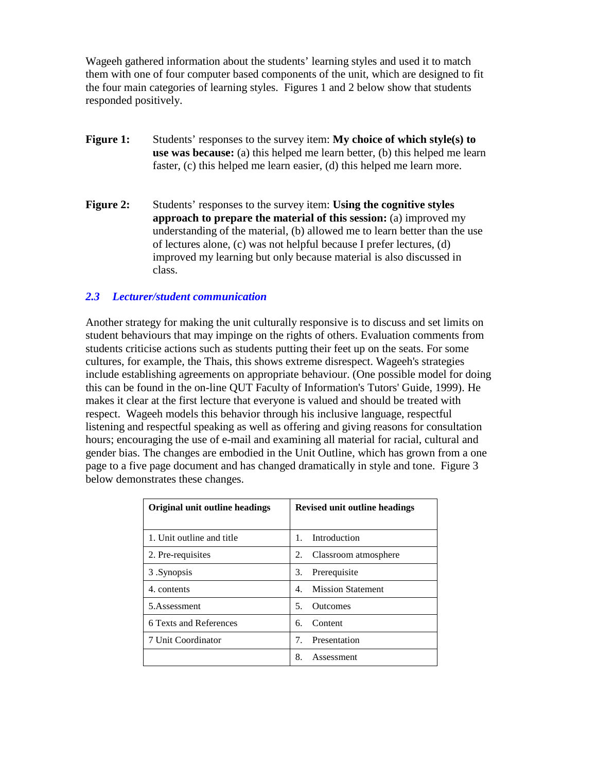Wageeh gathered information about the students' learning styles and used it to match them with one of four computer based components of the unit, which are designed to fit the four main categories of learning styles. Figures 1 and 2 below show that students responded positively.

- **Figure 1:** Students' responses to the survey item: **My choice of which style(s) to use was because:** (a) this helped me learn better, (b) this helped me learn faster, (c) this helped me learn easier, (d) this helped me learn more.
- **Figure 2:** Students' responses to the survey item: **Using the cognitive styles approach to prepare the material of this session:** (a) improved my understanding of the material, (b) allowed me to learn better than the use of lectures alone, (c) was not helpful because I prefer lectures, (d) improved my learning but only because material is also discussed in class.

#### *2.3 Lecturer/student communication*

Another strategy for making the unit culturally responsive is to discuss and set limits on student behaviours that may impinge on the rights of others. Evaluation comments from students criticise actions such as students putting their feet up on the seats. For some cultures, for example, the Thais, this shows extreme disrespect. Wageeh's strategies include establishing agreements on appropriate behaviour. (One possible model for doing this can be found in the on-line QUT Faculty of Information's Tutors' Guide, 1999). He makes it clear at the first lecture that everyone is valued and should be treated with respect. Wageeh models this behavior through his inclusive language, respectful listening and respectful speaking as well as offering and giving reasons for consultation hours; encouraging the use of e-mail and examining all material for racial, cultural and gender bias. The changes are embodied in the Unit Outline, which has grown from a one page to a five page document and has changed dramatically in style and tone. Figure 3 below demonstrates these changes.

| Original unit outline headings | <b>Revised unit outline headings</b> |
|--------------------------------|--------------------------------------|
|                                |                                      |
| 1. Unit outline and title      | Introduction<br>$\mathbf{1}$         |
| 2. Pre-requisites              | Classroom atmosphere<br>2.           |
| 3. Synopsis                    | 3.<br>Prerequisite                   |
| 4. contents                    | <b>Mission Statement</b><br>4        |
| 5.Assessment                   | <b>Outcomes</b><br>5.                |
| 6 Texts and References         | Content<br>б.                        |
| 7 Unit Coordinator             | Presentation<br>7.                   |
|                                | 8.<br>Assessment                     |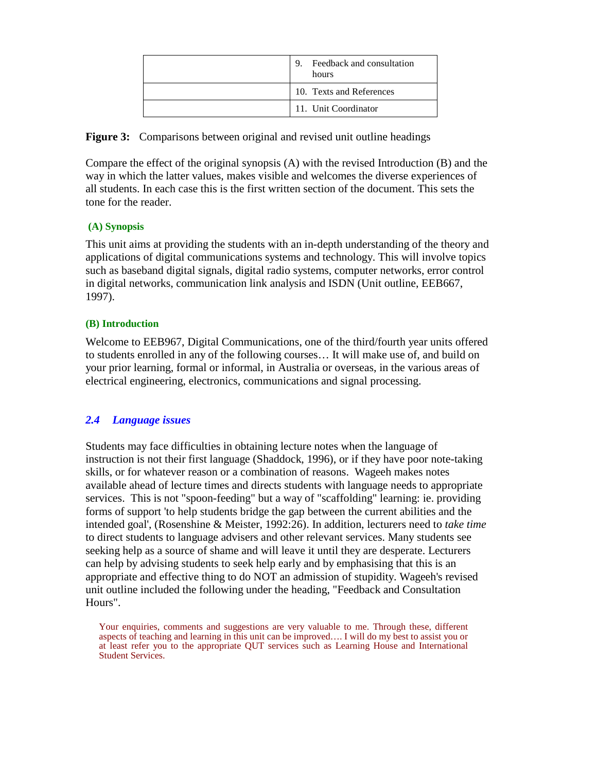| Feedback and consultation<br>9.<br>hours |
|------------------------------------------|
| 10. Texts and References                 |
| 11. Unit Coordinator                     |

**Figure 3:** Comparisons between original and revised unit outline headings

Compare the effect of the original synopsis (A) with the revised Introduction (B) and the way in which the latter values, makes visible and welcomes the diverse experiences of all students. In each case this is the first written section of the document. This sets the tone for the reader.

#### **(A) Synopsis**

This unit aims at providing the students with an in-depth understanding of the theory and applications of digital communications systems and technology. This will involve topics such as baseband digital signals, digital radio systems, computer networks, error control in digital networks, communication link analysis and ISDN (Unit outline, EEB667, 1997).

#### **(B) Introduction**

Welcome to EEB967, Digital Communications, one of the third/fourth year units offered to students enrolled in any of the following courses… It will make use of, and build on your prior learning, formal or informal, in Australia or overseas, in the various areas of electrical engineering, electronics, communications and signal processing.

#### *2.4 Language issues*

Students may face difficulties in obtaining lecture notes when the language of instruction is not their first language (Shaddock, 1996), or if they have poor note-taking skills, or for whatever reason or a combination of reasons. Wageeh makes notes available ahead of lecture times and directs students with language needs to appropriate services. This is not "spoon-feeding" but a way of "scaffolding" learning: ie. providing forms of support 'to help students bridge the gap between the current abilities and the intended goal', (Rosenshine & Meister, 1992:26). In addition, lecturers need to *take time* to direct students to language advisers and other relevant services. Many students see seeking help as a source of shame and will leave it until they are desperate. Lecturers can help by advising students to seek help early and by emphasising that this is an appropriate and effective thing to do NOT an admission of stupidity. Wageeh's revised unit outline included the following under the heading, "Feedback and Consultation Hours".

Your enquiries, comments and suggestions are very valuable to me. Through these, different aspects of teaching and learning in this unit can be improved…. I will do my best to assist you or at least refer you to the appropriate QUT services such as Learning House and International Student Services.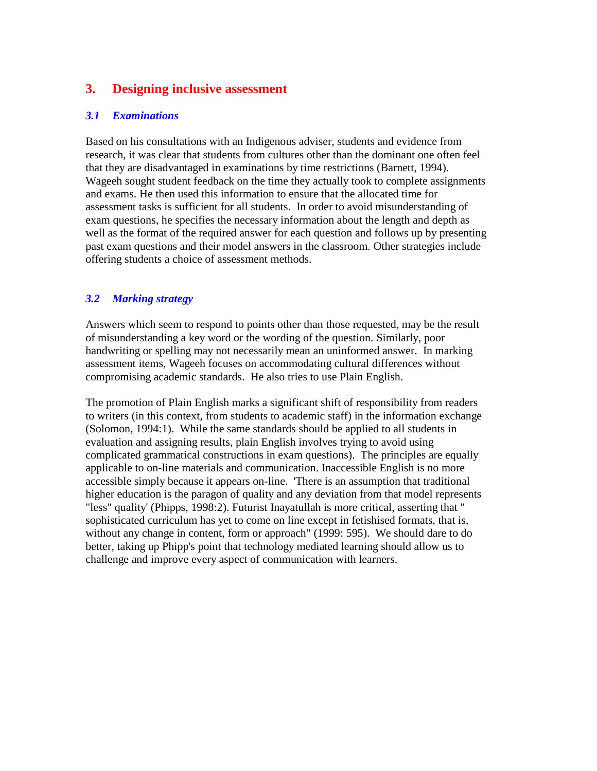## **3. Designing inclusive assessment**

#### *3.1 Examinations*

Based on his consultations with an Indigenous adviser, students and evidence from research, it was clear that students from cultures other than the dominant one often feel that they are disadvantaged in examinations by time restrictions (Barnett, 1994). Wageeh sought student feedback on the time they actually took to complete assignments and exams. He then used this information to ensure that the allocated time for assessment tasks is sufficient for all students. In order to avoid misunderstanding of exam questions, he specifies the necessary information about the length and depth as well as the format of the required answer for each question and follows up by presenting past exam questions and their model answers in the classroom. Other strategies include offering students a choice of assessment methods.

### *3.2 Marking strategy*

Answers which seem to respond to points other than those requested, may be the result of misunderstanding a key word or the wording of the question. Similarly, poor handwriting or spelling may not necessarily mean an uninformed answer. In marking assessment items, Wageeh focuses on accommodating cultural differences without compromising academic standards. He also tries to use Plain English.

The promotion of Plain English marks a significant shift of responsibility from readers to writers (in this context, from students to academic staff) in the information exchange (Solomon, 1994:1). While the same standards should be applied to all students in evaluation and assigning results, plain English involves trying to avoid using complicated grammatical constructions in exam questions). The principles are equally applicable to on-line materials and communication. Inaccessible English is no more accessible simply because it appears on-line. 'There is an assumption that traditional higher education is the paragon of quality and any deviation from that model represents "less" quality' (Phipps, 1998:2). Futurist Inayatullah is more critical, asserting that " sophisticated curriculum has yet to come on line except in fetishised formats, that is, without any change in content, form or approach" (1999: 595). We should dare to do better, taking up Phipp's point that technology mediated learning should allow us to challenge and improve every aspect of communication with learners.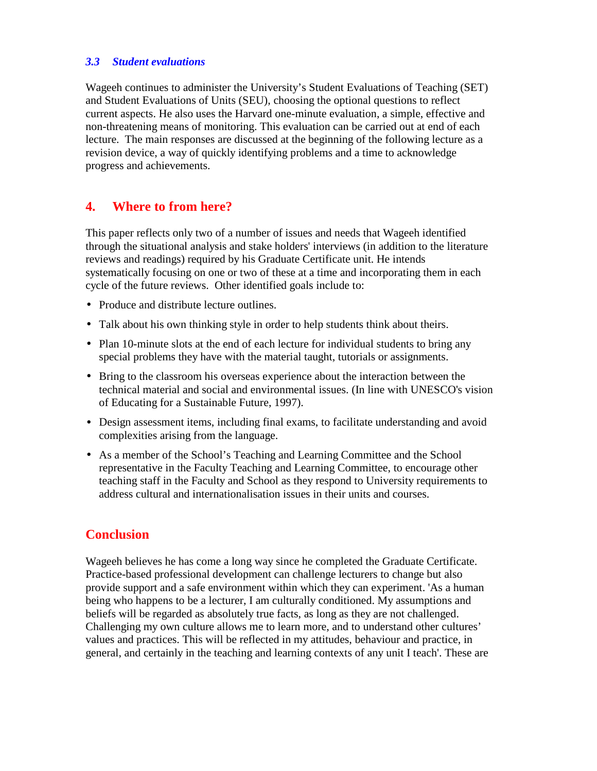#### *3.3 Student evaluations*

Wageeh continues to administer the University's Student Evaluations of Teaching (SET) and Student Evaluations of Units (SEU), choosing the optional questions to reflect current aspects. He also uses the Harvard one-minute evaluation, a simple, effective and non-threatening means of monitoring. This evaluation can be carried out at end of each lecture. The main responses are discussed at the beginning of the following lecture as a revision device, a way of quickly identifying problems and a time to acknowledge progress and achievements.

## **4. Where to from here?**

This paper reflects only two of a number of issues and needs that Wageeh identified through the situational analysis and stake holders' interviews (in addition to the literature reviews and readings) required by his Graduate Certificate unit. He intends systematically focusing on one or two of these at a time and incorporating them in each cycle of the future reviews. Other identified goals include to:

- Produce and distribute lecture outlines.
- Talk about his own thinking style in order to help students think about theirs.
- Plan 10-minute slots at the end of each lecture for individual students to bring any special problems they have with the material taught, tutorials or assignments.
- Bring to the classroom his overseas experience about the interaction between the technical material and social and environmental issues. (In line with UNESCO's vision of Educating for a Sustainable Future, 1997).
- Design assessment items, including final exams, to facilitate understanding and avoid complexities arising from the language.
- As a member of the School's Teaching and Learning Committee and the School representative in the Faculty Teaching and Learning Committee, to encourage other teaching staff in the Faculty and School as they respond to University requirements to address cultural and internationalisation issues in their units and courses.

## **Conclusion**

Wageeh believes he has come a long way since he completed the Graduate Certificate. Practice-based professional development can challenge lecturers to change but also provide support and a safe environment within which they can experiment. 'As a human being who happens to be a lecturer, I am culturally conditioned. My assumptions and beliefs will be regarded as absolutely true facts, as long as they are not challenged. Challenging my own culture allows me to learn more, and to understand other cultures' values and practices. This will be reflected in my attitudes, behaviour and practice, in general, and certainly in the teaching and learning contexts of any unit I teach'. These are